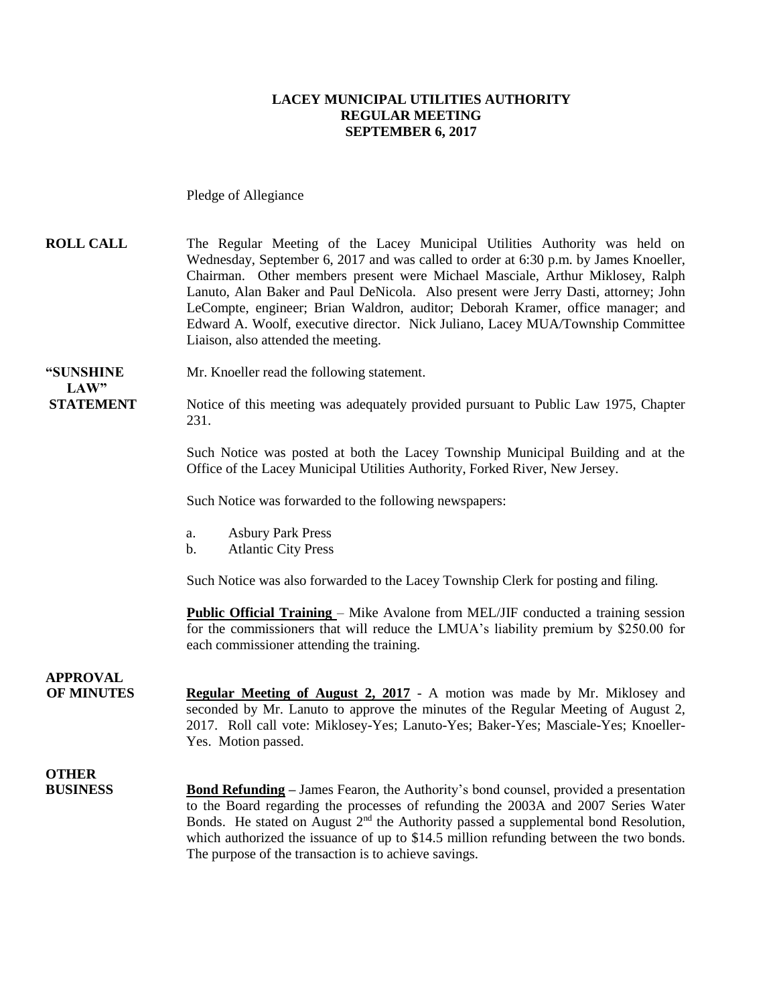#### **LACEY MUNICIPAL UTILITIES AUTHORITY REGULAR MEETING SEPTEMBER 6, 2017**

Pledge of Allegiance

**ROLL CALL** The Regular Meeting of the Lacey Municipal Utilities Authority was held on Wednesday, September 6, 2017 and was called to order at 6:30 p.m. by James Knoeller, Chairman. Other members present were Michael Masciale, Arthur Miklosey, Ralph Lanuto, Alan Baker and Paul DeNicola. Also present were Jerry Dasti, attorney; John LeCompte, engineer; Brian Waldron, auditor; Deborah Kramer, office manager; and Edward A. Woolf, executive director. Nick Juliano, Lacey MUA/Township Committee Liaison, also attended the meeting.

**"SUNSHINE** Mr. Knoeller read the following statement.

**STATEMENT** Notice of this meeting was adequately provided pursuant to Public Law 1975, Chapter 231.

> Such Notice was posted at both the Lacey Township Municipal Building and at the Office of the Lacey Municipal Utilities Authority, Forked River, New Jersey.

Such Notice was forwarded to the following newspapers:

- a. Asbury Park Press
- b. Atlantic City Press

Such Notice was also forwarded to the Lacey Township Clerk for posting and filing.

**Public Official Training** – Mike Avalone from MEL/JIF conducted a training session for the commissioners that will reduce the LMUA's liability premium by \$250.00 for each commissioner attending the training.

## **APPROVAL**

 $LAW"$ 

**OF MINUTES Regular Meeting of August 2, 2017** - A motion was made by Mr. Miklosey and seconded by Mr. Lanuto to approve the minutes of the Regular Meeting of August 2, 2017. Roll call vote: Miklosey-Yes; Lanuto-Yes; Baker-Yes; Masciale-Yes; Knoeller-Yes. Motion passed.

## **OTHER**

**BUSINESS Bond Refunding** – James Fearon, the Authority's bond counsel, provided a presentation to the Board regarding the processes of refunding the 2003A and 2007 Series Water Bonds. He stated on August  $2<sup>nd</sup>$  the Authority passed a supplemental bond Resolution, which authorized the issuance of up to \$14.5 million refunding between the two bonds. The purpose of the transaction is to achieve savings.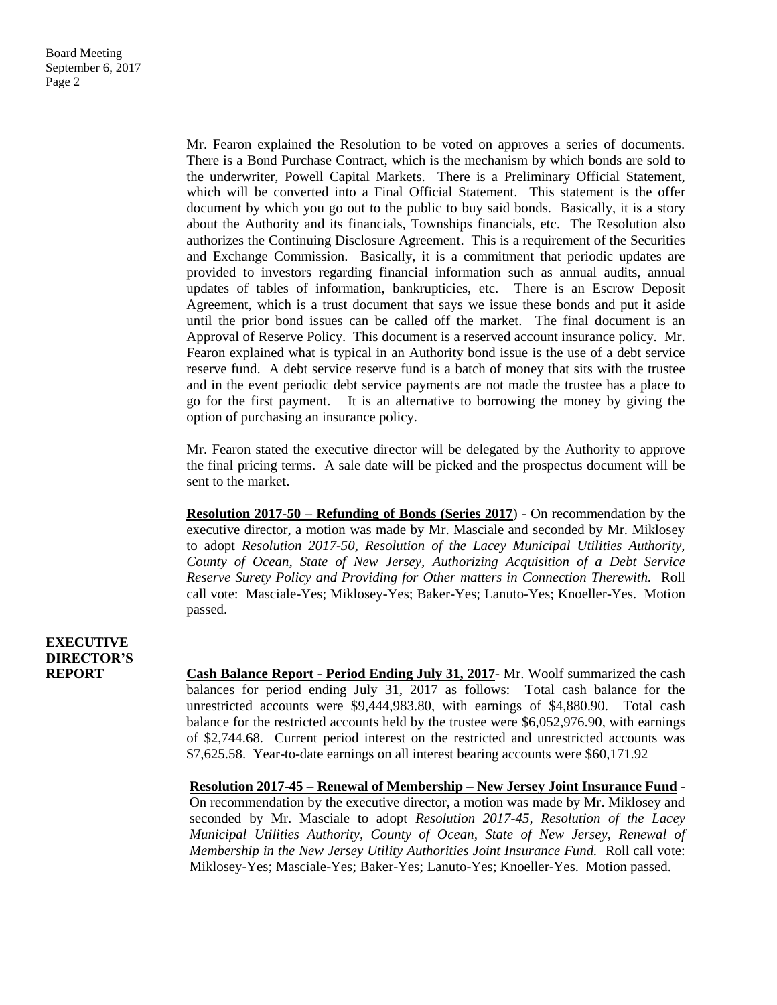Mr. Fearon explained the Resolution to be voted on approves a series of documents. There is a Bond Purchase Contract, which is the mechanism by which bonds are sold to the underwriter, Powell Capital Markets. There is a Preliminary Official Statement, which will be converted into a Final Official Statement. This statement is the offer document by which you go out to the public to buy said bonds. Basically, it is a story about the Authority and its financials, Townships financials, etc. The Resolution also authorizes the Continuing Disclosure Agreement. This is a requirement of the Securities and Exchange Commission. Basically, it is a commitment that periodic updates are provided to investors regarding financial information such as annual audits, annual updates of tables of information, bankrupticies, etc. There is an Escrow Deposit Agreement, which is a trust document that says we issue these bonds and put it aside until the prior bond issues can be called off the market. The final document is an Approval of Reserve Policy. This document is a reserved account insurance policy. Mr. Fearon explained what is typical in an Authority bond issue is the use of a debt service reserve fund. A debt service reserve fund is a batch of money that sits with the trustee and in the event periodic debt service payments are not made the trustee has a place to go for the first payment. It is an alternative to borrowing the money by giving the option of purchasing an insurance policy.

Mr. Fearon stated the executive director will be delegated by the Authority to approve the final pricing terms. A sale date will be picked and the prospectus document will be sent to the market.

**Resolution 2017-50 – Refunding of Bonds (Series 2017**) - On recommendation by the executive director, a motion was made by Mr. Masciale and seconded by Mr. Miklosey to adopt *Resolution 2017-50, Resolution of the Lacey Municipal Utilities Authority, County of Ocean, State of New Jersey, Authorizing Acquisition of a Debt Service Reserve Surety Policy and Providing for Other matters in Connection Therewith.* Roll call vote: Masciale-Yes; Miklosey-Yes; Baker-Yes; Lanuto-Yes; Knoeller-Yes. Motion passed.

### **EXECUTIVE DIRECTOR'S**

**REPORT Cash Balance Report - Period Ending July 31, 2017**- Mr. Woolf summarized the cash balances for period ending July 31, 2017 as follows: Total cash balance for the unrestricted accounts were \$9,444,983.80, with earnings of \$4,880.90. Total cash balance for the restricted accounts held by the trustee were \$6,052,976.90, with earnings of \$2,744.68. Current period interest on the restricted and unrestricted accounts was \$7,625.58. Year-to-date earnings on all interest bearing accounts were \$60,171.92

> **Resolution 2017-45 – Renewal of Membership – New Jersey Joint Insurance Fund** - On recommendation by the executive director, a motion was made by Mr. Miklosey and seconded by Mr. Masciale to adopt *Resolution 2017-45, Resolution of the Lacey Municipal Utilities Authority, County of Ocean, State of New Jersey, Renewal of Membership in the New Jersey Utility Authorities Joint Insurance Fund.* Roll call vote: Miklosey-Yes; Masciale-Yes; Baker-Yes; Lanuto-Yes; Knoeller-Yes. Motion passed.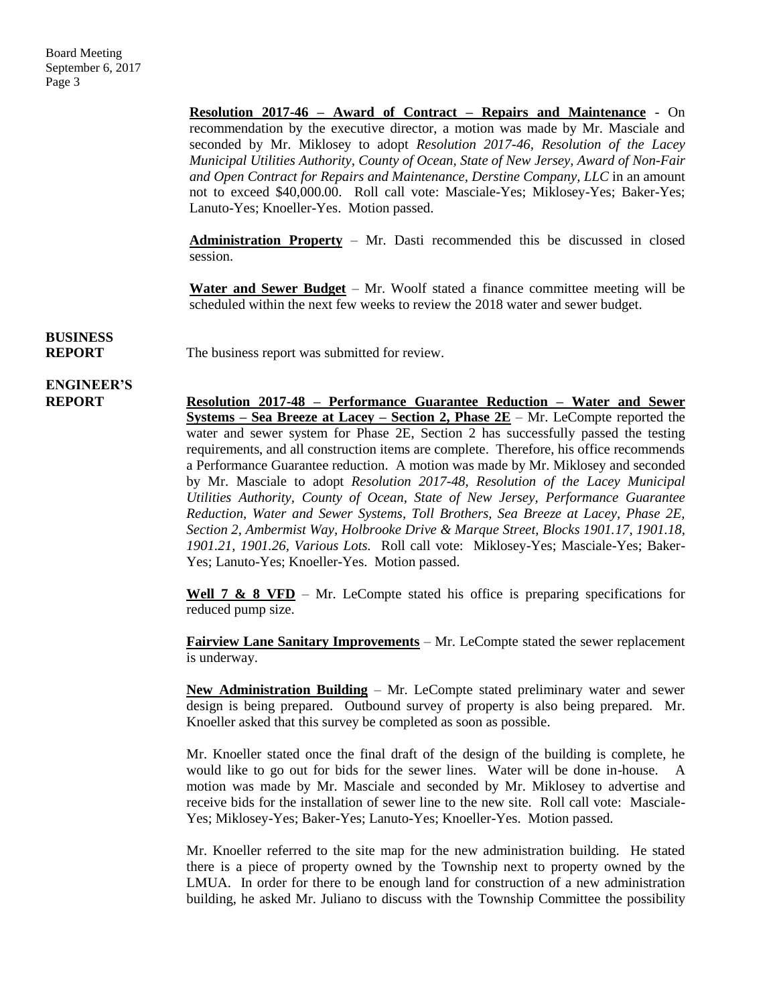**Resolution 2017-46 – Award of Contract – Repairs and Maintenance** - On recommendation by the executive director, a motion was made by Mr. Masciale and seconded by Mr. Miklosey to adopt *Resolution 2017-46, Resolution of the Lacey Municipal Utilities Authority, County of Ocean, State of New Jersey, Award of Non-Fair and Open Contract for Repairs and Maintenance, Derstine Company, LLC* in an amount not to exceed \$40,000.00. Roll call vote: Masciale-Yes; Miklosey-Yes; Baker-Yes; Lanuto-Yes; Knoeller-Yes. Motion passed.

**Administration Property** – Mr. Dasti recommended this be discussed in closed session.

**Water and Sewer Budget** – Mr. Woolf stated a finance committee meeting will be scheduled within the next few weeks to review the 2018 water and sewer budget.

## **BUSINESS**

**REPORT** The business report was submitted for review.

## **ENGINEER'S**

**REPORT Resolution 2017-48 – Performance Guarantee Reduction – Water and Sewer Systems – Sea Breeze at Lacey – Section 2, Phase 2E** – Mr. LeCompte reported the water and sewer system for Phase 2E, Section 2 has successfully passed the testing requirements, and all construction items are complete. Therefore, his office recommends a Performance Guarantee reduction. A motion was made by Mr. Miklosey and seconded by Mr. Masciale to adopt *Resolution 2017-48, Resolution of the Lacey Municipal Utilities Authority, County of Ocean, State of New Jersey, Performance Guarantee Reduction, Water and Sewer Systems, Toll Brothers, Sea Breeze at Lacey, Phase 2E, Section 2, Ambermist Way, Holbrooke Drive & Marque Street, Blocks 1901.17, 1901.18, 1901.21, 1901.26, Various Lots.* Roll call vote: Miklosey-Yes; Masciale-Yes; Baker-Yes; Lanuto-Yes; Knoeller-Yes. Motion passed.

> **Well 7 & 8 VFD** – Mr. LeCompte stated his office is preparing specifications for reduced pump size.

> **Fairview Lane Sanitary Improvements** – Mr. LeCompte stated the sewer replacement is underway.

> **New Administration Building** – Mr. LeCompte stated preliminary water and sewer design is being prepared. Outbound survey of property is also being prepared. Mr. Knoeller asked that this survey be completed as soon as possible.

> Mr. Knoeller stated once the final draft of the design of the building is complete, he would like to go out for bids for the sewer lines. Water will be done in-house. A motion was made by Mr. Masciale and seconded by Mr. Miklosey to advertise and receive bids for the installation of sewer line to the new site. Roll call vote: Masciale-Yes; Miklosey-Yes; Baker-Yes; Lanuto-Yes; Knoeller-Yes. Motion passed.

> Mr. Knoeller referred to the site map for the new administration building. He stated there is a piece of property owned by the Township next to property owned by the LMUA. In order for there to be enough land for construction of a new administration building, he asked Mr. Juliano to discuss with the Township Committee the possibility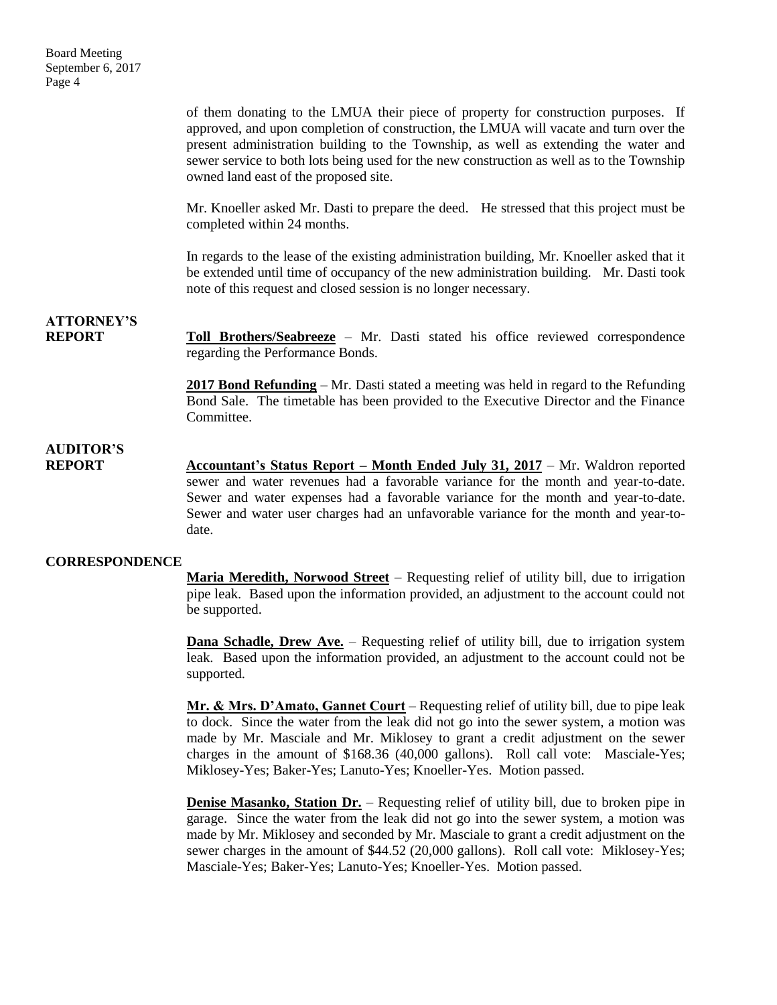of them donating to the LMUA their piece of property for construction purposes. If approved, and upon completion of construction, the LMUA will vacate and turn over the present administration building to the Township, as well as extending the water and sewer service to both lots being used for the new construction as well as to the Township owned land east of the proposed site.

Mr. Knoeller asked Mr. Dasti to prepare the deed. He stressed that this project must be completed within 24 months.

In regards to the lease of the existing administration building, Mr. Knoeller asked that it be extended until time of occupancy of the new administration building. Mr. Dasti took note of this request and closed session is no longer necessary.

**ATTORNEY'S**

**REPORT Toll Brothers/Seabreeze** – Mr. Dasti stated his office reviewed correspondence regarding the Performance Bonds.

> **2017 Bond Refunding** – Mr. Dasti stated a meeting was held in regard to the Refunding Bond Sale. The timetable has been provided to the Executive Director and the Finance Committee.

### **AUDITOR'S**

**REPORT** Accountant's Status Report – Month Ended July 31, 2017 – Mr. Waldron reported sewer and water revenues had a favorable variance for the month and year-to-date. Sewer and water expenses had a favorable variance for the month and year-to-date. Sewer and water user charges had an unfavorable variance for the month and year-todate.

#### **CORRESPONDENCE**

**Maria Meredith, Norwood Street** – Requesting relief of utility bill, due to irrigation pipe leak. Based upon the information provided, an adjustment to the account could not be supported.

**Dana Schadle, Drew Ave.** – Requesting relief of utility bill, due to irrigation system leak. Based upon the information provided, an adjustment to the account could not be supported.

**Mr. & Mrs. D'Amato, Gannet Court** – Requesting relief of utility bill, due to pipe leak to dock. Since the water from the leak did not go into the sewer system, a motion was made by Mr. Masciale and Mr. Miklosey to grant a credit adjustment on the sewer charges in the amount of \$168.36 (40,000 gallons). Roll call vote: Masciale-Yes; Miklosey-Yes; Baker-Yes; Lanuto-Yes; Knoeller-Yes. Motion passed.

**Denise Masanko, Station Dr.** – Requesting relief of utility bill, due to broken pipe in garage. Since the water from the leak did not go into the sewer system, a motion was made by Mr. Miklosey and seconded by Mr. Masciale to grant a credit adjustment on the sewer charges in the amount of \$44.52 (20,000 gallons). Roll call vote: Miklosey-Yes; Masciale-Yes; Baker-Yes; Lanuto-Yes; Knoeller-Yes. Motion passed.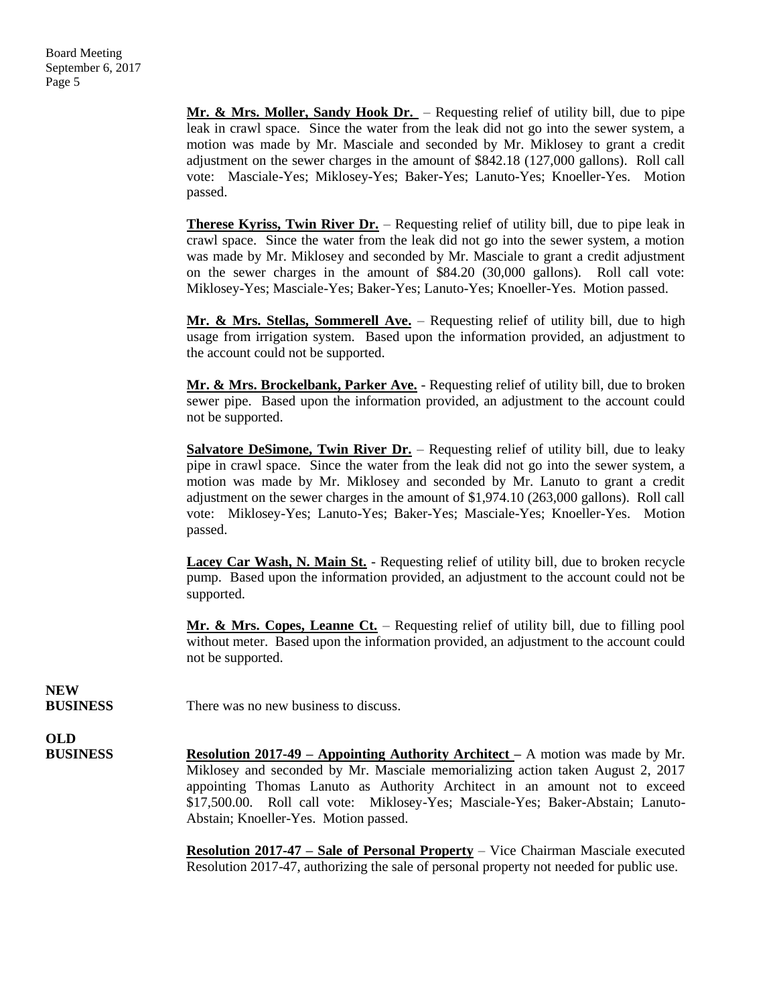**Mr. & Mrs. Moller, Sandy Hook Dr.** – Requesting relief of utility bill, due to pipe leak in crawl space. Since the water from the leak did not go into the sewer system, a motion was made by Mr. Masciale and seconded by Mr. Miklosey to grant a credit adjustment on the sewer charges in the amount of \$842.18 (127,000 gallons). Roll call vote: Masciale-Yes; Miklosey-Yes; Baker-Yes; Lanuto-Yes; Knoeller-Yes. Motion passed.

**Therese Kyriss, Twin River Dr.** – Requesting relief of utility bill, due to pipe leak in crawl space. Since the water from the leak did not go into the sewer system, a motion was made by Mr. Miklosey and seconded by Mr. Masciale to grant a credit adjustment on the sewer charges in the amount of \$84.20 (30,000 gallons). Roll call vote: Miklosey-Yes; Masciale-Yes; Baker-Yes; Lanuto-Yes; Knoeller-Yes. Motion passed.

**Mr. & Mrs. Stellas, Sommerell Ave.** – Requesting relief of utility bill, due to high usage from irrigation system. Based upon the information provided, an adjustment to the account could not be supported.

**Mr. & Mrs. Brockelbank, Parker Ave.** - Requesting relief of utility bill, due to broken sewer pipe. Based upon the information provided, an adjustment to the account could not be supported.

**Salvatore DeSimone, Twin River Dr.** – Requesting relief of utility bill, due to leaky pipe in crawl space. Since the water from the leak did not go into the sewer system, a motion was made by Mr. Miklosey and seconded by Mr. Lanuto to grant a credit adjustment on the sewer charges in the amount of \$1,974.10 (263,000 gallons). Roll call vote: Miklosey-Yes; Lanuto-Yes; Baker-Yes; Masciale-Yes; Knoeller-Yes. Motion passed.

**Lacey Car Wash, N. Main St.** - Requesting relief of utility bill, due to broken recycle pump. Based upon the information provided, an adjustment to the account could not be supported.

**Mr. & Mrs. Copes, Leanne Ct.** – Requesting relief of utility bill, due to filling pool without meter. Based upon the information provided, an adjustment to the account could not be supported.

**NEW**

**BUSINESS** There was no new business to discuss.

**OLD**

**BUSINESS Resolution 2017-49 – Appointing Authority Architect –** A motion was made by Mr. Miklosey and seconded by Mr. Masciale memorializing action taken August 2, 2017 appointing Thomas Lanuto as Authority Architect in an amount not to exceed \$17,500.00. Roll call vote: Miklosey-Yes; Masciale-Yes; Baker-Abstain; Lanuto-Abstain; Knoeller-Yes. Motion passed.

> **Resolution 2017-47 – Sale of Personal Property** – Vice Chairman Masciale executed Resolution 2017-47, authorizing the sale of personal property not needed for public use.